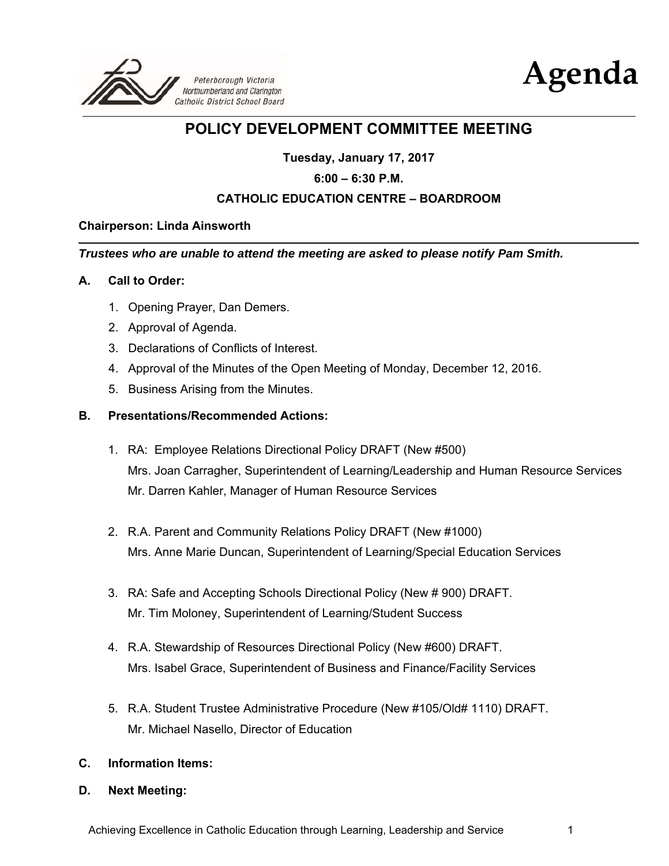



# **POLICY DEVELOPMENT COMMITTEE MEETING**

**Tuesday, January 17, 2017** 

### **6:00 – 6:30 P.M.**

## **CATHOLIC EDUCATION CENTRE – BOARDROOM**

#### **Chairperson: Linda Ainsworth**

*Trustees who are unable to attend the meeting are asked to please notify Pam Smith.* 

#### **A. Call to Order:**

- 1. Opening Prayer, Dan Demers.
- 2. Approval of Agenda.
- 3. Declarations of Conflicts of Interest.
- 4. Approval of the Minutes of the Open Meeting of Monday, December 12, 2016.
- 5. Business Arising from the Minutes.

#### **B. Presentations/Recommended Actions:**

- 1. RA: Employee Relations Directional Policy DRAFT (New #500) Mrs. Joan Carragher, Superintendent of Learning/Leadership and Human Resource Services Mr. Darren Kahler, Manager of Human Resource Services
- 2. R.A. Parent and Community Relations Policy DRAFT (New #1000) Mrs. Anne Marie Duncan, Superintendent of Learning/Special Education Services
- 3. RA: Safe and Accepting Schools Directional Policy (New # 900) DRAFT. Mr. Tim Moloney, Superintendent of Learning/Student Success
- 4. R.A. Stewardship of Resources Directional Policy (New #600) DRAFT. Mrs. Isabel Grace, Superintendent of Business and Finance/Facility Services
- 5. R.A. Student Trustee Administrative Procedure (New #105/Old# 1110) DRAFT. Mr. Michael Nasello, Director of Education

#### **C. Information Items:**

**D. Next Meeting:**